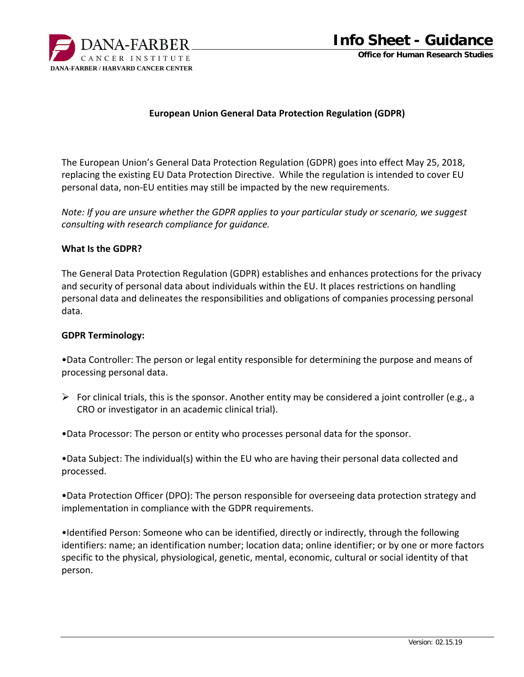

#### **European Union General Data Protection Regulation (GDPR)**

The European Union's General Data Protection Regulation (GDPR) goes into effect May 25, 2018, replacing the existing EU Data Protection Directive. While the regulation is intended to cover EU personal data, non‐EU entities may still be impacted by the new requirements.

*Note: If you are unsure whether the GDPR applies to your particular study or scenario, we suggest consulting with research compliance for guidance.*

#### **What Is the GDPR?**

The General Data Protection Regulation (GDPR) establishes and enhances protections for the privacy and security of personal data about individuals within the EU. It places restrictions on handling personal data and delineates the responsibilities and obligations of companies processing personal data.

#### **GDPR Terminology:**

•Data Controller: The person or legal entity responsible for determining the purpose and means of processing personal data.

For clinical trials, this is the sponsor. Another entity may be considered a joint controller (e.g., a CRO or investigator in an academic clinical trial).

•Data Processor: The person or entity who processes personal data for the sponsor.

•Data Subject: The individual(s) within the EU who are having their personal data collected and processed.

•Data Protection Officer (DPO): The person responsible for overseeing data protection strategy and implementation in compliance with the GDPR requirements.

•Identified Person: Someone who can be identified, directly or indirectly, through the following identifiers: name; an identification number; location data; online identifier; or by one or more factors specific to the physical, physiological, genetic, mental, economic, cultural or social identity of that person.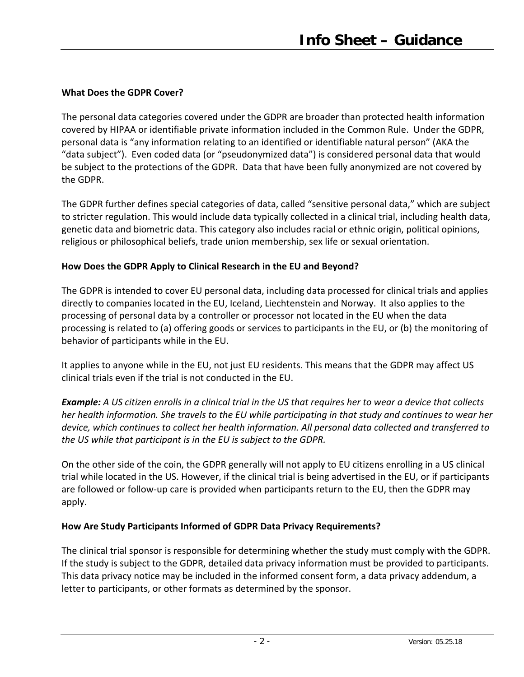# **What Does the GDPR Cover?**

The personal data categories covered under the GDPR are broader than protected health information covered by HIPAA or identifiable private information included in the Common Rule. Under the GDPR, personal data is "any information relating to an identified or identifiable natural person" (AKA the "data subject"). Even coded data (or "pseudonymized data") is considered personal data that would be subject to the protections of the GDPR. Data that have been fully anonymized are not covered by the GDPR.

The GDPR further defines special categories of data, called "sensitive personal data," which are subject to stricter regulation. This would include data typically collected in a clinical trial, including health data, genetic data and biometric data. This category also includes racial or ethnic origin, political opinions, religious or philosophical beliefs, trade union membership, sex life or sexual orientation.

# **How Does the GDPR Apply to Clinical Research in the EU and Beyond?**

The GDPR is intended to cover EU personal data, including data processed for clinical trials and applies directly to companies located in the EU, Iceland, Liechtenstein and Norway. It also applies to the processing of personal data by a controller or processor not located in the EU when the data processing is related to (a) offering goods or services to participants in the EU, or (b) the monitoring of behavior of participants while in the EU.

It applies to anyone while in the EU, not just EU residents. This means that the GDPR may affect US clinical trials even if the trial is not conducted in the EU.

**Example:** A US citizen enrolls in a clinical trial in the US that requires her to wear a device that collects her health information. She travels to the EU while participating in that study and continues to wear her *device, which continues to collect her health information. All personal data collected and transferred to the US while that participant is in the EU is subject to the GDPR.*

On the other side of the coin, the GDPR generally will not apply to EU citizens enrolling in a US clinical trial while located in the US. However, if the clinical trial is being advertised in the EU, or if participants are followed or follow-up care is provided when participants return to the EU, then the GDPR may apply.

# **How Are Study Participants Informed of GDPR Data Privacy Requirements?**

The clinical trial sponsor is responsible for determining whether the study must comply with the GDPR. If the study is subject to the GDPR, detailed data privacy information must be provided to participants. This data privacy notice may be included in the informed consent form, a data privacy addendum, a letter to participants, or other formats as determined by the sponsor.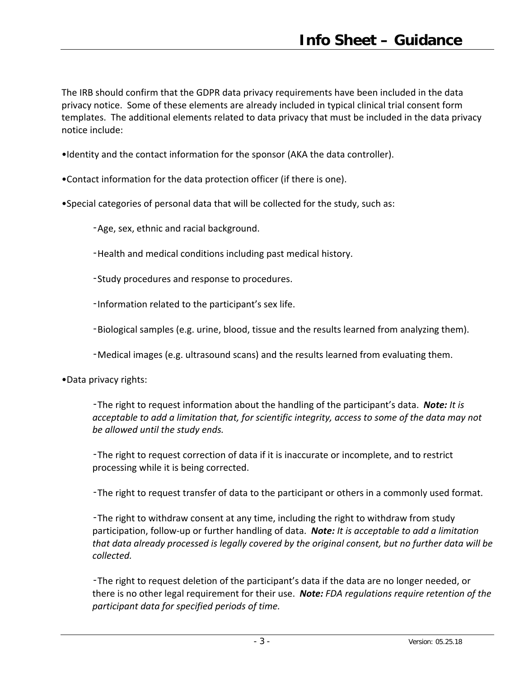The IRB should confirm that the GDPR data privacy requirements have been included in the data privacy notice. Some of these elements are already included in typical clinical trial consent form templates. The additional elements related to data privacy that must be included in the data privacy notice include:

- •Identity and the contact information for the sponsor (AKA the data controller).
- •Contact information for the data protection officer (if there is one).
- •Special categories of personal data that will be collected for the study, such as:
	- ‑Age, sex, ethnic and racial background.
	- ‑Health and medical conditions including past medical history.
	- ‑Study procedures and response to procedures.
	- ‑Information related to the participant's sex life.
	- ‑Biological samples (e.g. urine, blood, tissue and the results learned from analyzing them).
	- ‑Medical images (e.g. ultrasound scans) and the results learned from evaluating them.
- •Data privacy rights:
	- ‑The right to request information about the handling of the participant's data. *Note: It is acceptable to add a limitation that, for scientific integrity, access to some of the data may not be allowed until the study ends.*
	- ‑The right to request correction of data if it is inaccurate or incomplete, and to restrict processing while it is being corrected.
	- ‑The right to request transfer of data to the participant or others in a commonly used format.
	- ‑The right to withdraw consent at any time, including the right to withdraw from study participation, follow‐up or further handling of data. *Note: It is acceptable to add a limitation that data already processed is legally covered by the original consent, but no further data will be collected.*
	- ‑The right to request deletion of the participant's data if the data are no longer needed, or there is no other legal requirement for their use. *Note: FDA regulations require retention of the participant data for specified periods of time.*